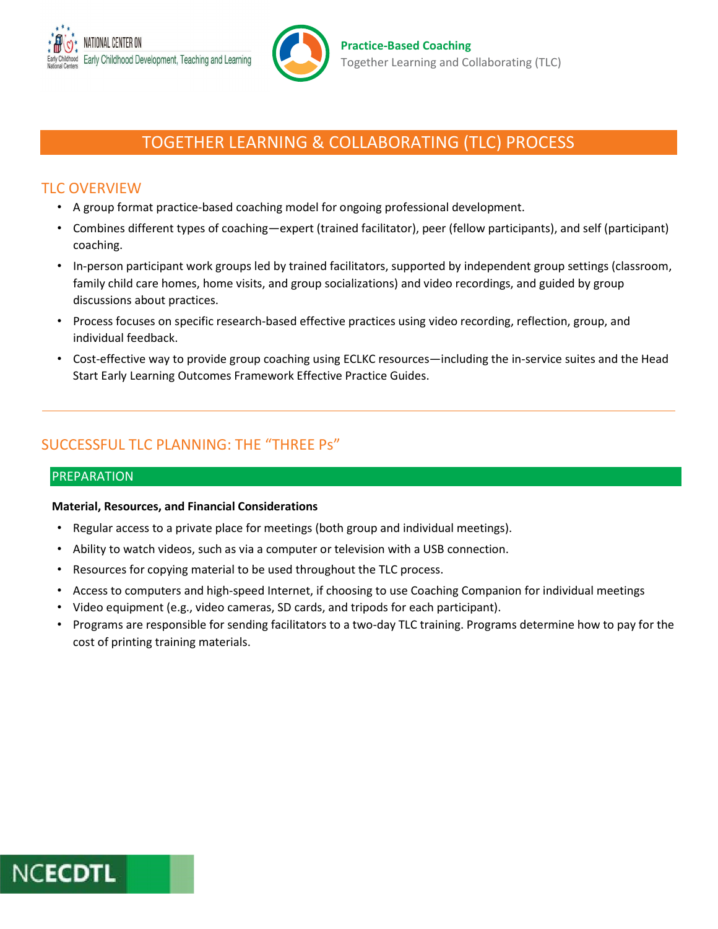

# TOGETHER LEARNING & COLLABORATING (TLC) PROCESS

# TLC OVERVIEW

- A group format practice-based coaching model for ongoing professional development.
- • Combines different types of coaching—expert (trained facilitator), peer (fellow participants), and self (participant) coaching.
- • In-person participant work groups led by trained facilitators, supported by independent group settings (classroom, family child care homes, home visits, and group socializations) and video recordings, and guided by group discussions about practices.
- • Process focuses on specific research-based effective practices using video recording, reflection, group, and individual feedback.
- • Cost-effective way to provide group coaching using ECLKC resources—including the in-service suites and the Head Start Early Learning Outcomes Framework Effective Practice Guides.

# SUCCESSFUL TLC PLANNING: THE "THREE Ps"

## PREPARATION

## Material, Resources, and Financial Considerations

- Regular access to a private place for meetings (both group and individual meetings).
- Ability to watch videos, such as via a computer or television with a USB connection.
- Resources for copying material to be used throughout the TLC process.
- Access to computers and high-speed Internet, if choosing to use Coaching Companion for individual meetings
- Video equipment (e.g., video cameras, SD cards, and tripods for each participant).
- • Programs are responsible for sending facilitators to a two-day TLC training. Programs determine how to pay for the cost of printing training materials.

# **NCECDTL**